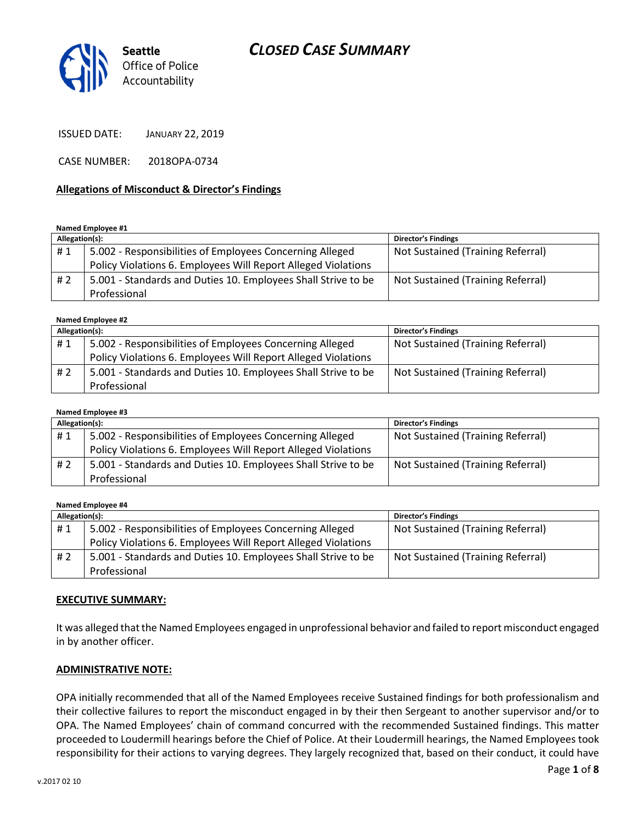

ISSUED DATE: JANUARY 22, 2019

CASE NUMBER: 2018OPA-0734

#### Allegations of Misconduct & Director's Findings

#### Named Employee #1

| Allegation(s): |                                                               | <b>Director's Findings</b>        |
|----------------|---------------------------------------------------------------|-----------------------------------|
| #1             | 5.002 - Responsibilities of Employees Concerning Alleged      | Not Sustained (Training Referral) |
|                | Policy Violations 6. Employees Will Report Alleged Violations |                                   |
| #2             | 5.001 - Standards and Duties 10. Employees Shall Strive to be | Not Sustained (Training Referral) |
|                | Professional                                                  |                                   |

#### Named Employee #2

| Allegation(s): |                                                               | <b>Director's Findings</b>        |
|----------------|---------------------------------------------------------------|-----------------------------------|
| #1             | 5.002 - Responsibilities of Employees Concerning Alleged      | Not Sustained (Training Referral) |
|                | Policy Violations 6. Employees Will Report Alleged Violations |                                   |
| #2             | 5.001 - Standards and Duties 10. Employees Shall Strive to be | Not Sustained (Training Referral) |
|                | Professional                                                  |                                   |

#### Named Employee #3 Allegation(s): Director's Findings # 1 | 5.002 - Responsibilities of Employees Concerning Alleged Policy Violations 6. Employees Will Report Alleged Violations Not Sustained (Training Referral) # 2 | 5.001 - Standards and Duties 10. Employees Shall Strive to be Professional Not Sustained (Training Referral)

#### Named Employee #4

| Allegation(s): |                                                               | <b>Director's Findings</b>        |
|----------------|---------------------------------------------------------------|-----------------------------------|
| #1             | 5.002 - Responsibilities of Employees Concerning Alleged      | Not Sustained (Training Referral) |
|                | Policy Violations 6. Employees Will Report Alleged Violations |                                   |
| # 2            | 5.001 - Standards and Duties 10. Employees Shall Strive to be | Not Sustained (Training Referral) |
|                | Professional                                                  |                                   |

#### EXECUTIVE SUMMARY:

It was alleged that the Named Employees engaged in unprofessional behavior and failed to report misconduct engaged in by another officer.

#### ADMINISTRATIVE NOTE:

OPA initially recommended that all of the Named Employees receive Sustained findings for both professionalism and their collective failures to report the misconduct engaged in by their then Sergeant to another supervisor and/or to OPA. The Named Employees' chain of command concurred with the recommended Sustained findings. This matter proceeded to Loudermill hearings before the Chief of Police. At their Loudermill hearings, the Named Employees took responsibility for their actions to varying degrees. They largely recognized that, based on their conduct, it could have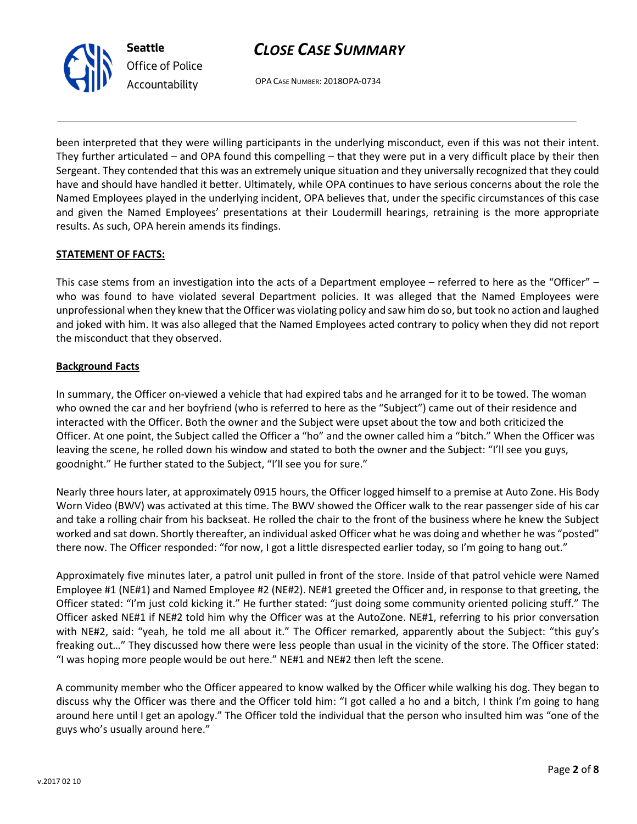

OPA CASE NUMBER: 2018OPA-0734

been interpreted that they were willing participants in the underlying misconduct, even if this was not their intent. They further articulated – and OPA found this compelling – that they were put in a very difficult place by their then Sergeant. They contended that this was an extremely unique situation and they universally recognized that they could have and should have handled it better. Ultimately, while OPA continues to have serious concerns about the role the Named Employees played in the underlying incident, OPA believes that, under the specific circumstances of this case and given the Named Employees' presentations at their Loudermill hearings, retraining is the more appropriate results. As such, OPA herein amends its findings.

### STATEMENT OF FACTS:

This case stems from an investigation into the acts of a Department employee – referred to here as the "Officer" – who was found to have violated several Department policies. It was alleged that the Named Employees were unprofessional when they knew that the Officer was violating policy and saw him do so, but took no action and laughed and joked with him. It was also alleged that the Named Employees acted contrary to policy when they did not report the misconduct that they observed.

### Background Facts

In summary, the Officer on-viewed a vehicle that had expired tabs and he arranged for it to be towed. The woman who owned the car and her boyfriend (who is referred to here as the "Subject") came out of their residence and interacted with the Officer. Both the owner and the Subject were upset about the tow and both criticized the Officer. At one point, the Subject called the Officer a "ho" and the owner called him a "bitch." When the Officer was leaving the scene, he rolled down his window and stated to both the owner and the Subject: "I'll see you guys, goodnight." He further stated to the Subject, "I'll see you for sure."

Nearly three hours later, at approximately 0915 hours, the Officer logged himself to a premise at Auto Zone. His Body Worn Video (BWV) was activated at this time. The BWV showed the Officer walk to the rear passenger side of his car and take a rolling chair from his backseat. He rolled the chair to the front of the business where he knew the Subject worked and sat down. Shortly thereafter, an individual asked Officer what he was doing and whether he was "posted" there now. The Officer responded: "for now, I got a little disrespected earlier today, so I'm going to hang out."

Approximately five minutes later, a patrol unit pulled in front of the store. Inside of that patrol vehicle were Named Employee #1 (NE#1) and Named Employee #2 (NE#2). NE#1 greeted the Officer and, in response to that greeting, the Officer stated: "I'm just cold kicking it." He further stated: "just doing some community oriented policing stuff." The Officer asked NE#1 if NE#2 told him why the Officer was at the AutoZone. NE#1, referring to his prior conversation with NE#2, said: "yeah, he told me all about it." The Officer remarked, apparently about the Subject: "this guy's freaking out…" They discussed how there were less people than usual in the vicinity of the store. The Officer stated: "I was hoping more people would be out here." NE#1 and NE#2 then left the scene.

A community member who the Officer appeared to know walked by the Officer while walking his dog. They began to discuss why the Officer was there and the Officer told him: "I got called a ho and a bitch, I think I'm going to hang around here until I get an apology." The Officer told the individual that the person who insulted him was "one of the guys who's usually around here."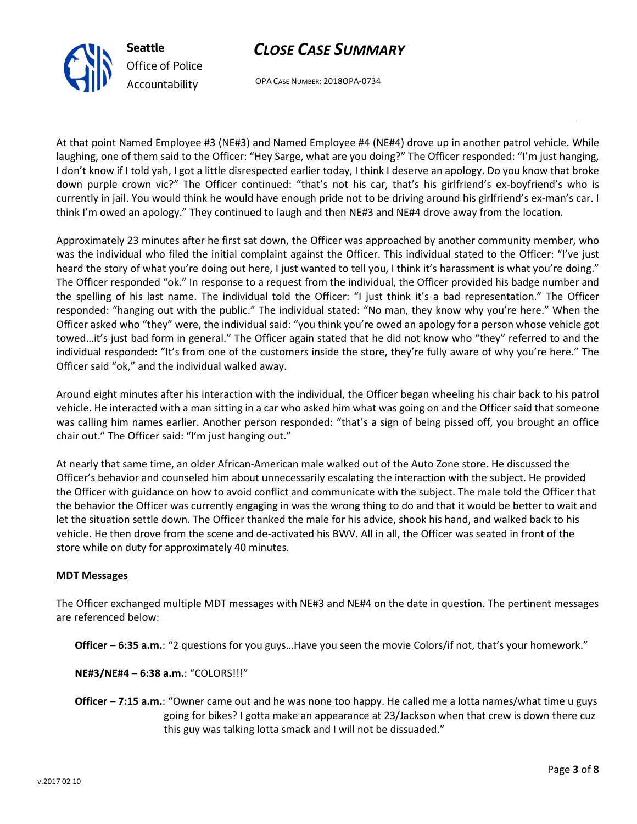

OPA CASE NUMBER: 2018OPA-0734

At that point Named Employee #3 (NE#3) and Named Employee #4 (NE#4) drove up in another patrol vehicle. While laughing, one of them said to the Officer: "Hey Sarge, what are you doing?" The Officer responded: "I'm just hanging, I don't know if I told yah, I got a little disrespected earlier today, I think I deserve an apology. Do you know that broke down purple crown vic?" The Officer continued: "that's not his car, that's his girlfriend's ex-boyfriend's who is currently in jail. You would think he would have enough pride not to be driving around his girlfriend's ex-man's car. I think I'm owed an apology." They continued to laugh and then NE#3 and NE#4 drove away from the location.

Approximately 23 minutes after he first sat down, the Officer was approached by another community member, who was the individual who filed the initial complaint against the Officer. This individual stated to the Officer: "I've just heard the story of what you're doing out here, I just wanted to tell you, I think it's harassment is what you're doing." The Officer responded "ok." In response to a request from the individual, the Officer provided his badge number and the spelling of his last name. The individual told the Officer: "I just think it's a bad representation." The Officer responded: "hanging out with the public." The individual stated: "No man, they know why you're here." When the Officer asked who "they" were, the individual said: "you think you're owed an apology for a person whose vehicle got towed…it's just bad form in general." The Officer again stated that he did not know who "they" referred to and the individual responded: "It's from one of the customers inside the store, they're fully aware of why you're here." The Officer said "ok," and the individual walked away.

Around eight minutes after his interaction with the individual, the Officer began wheeling his chair back to his patrol vehicle. He interacted with a man sitting in a car who asked him what was going on and the Officer said that someone was calling him names earlier. Another person responded: "that's a sign of being pissed off, you brought an office chair out." The Officer said: "I'm just hanging out."

At nearly that same time, an older African-American male walked out of the Auto Zone store. He discussed the Officer's behavior and counseled him about unnecessarily escalating the interaction with the subject. He provided the Officer with guidance on how to avoid conflict and communicate with the subject. The male told the Officer that the behavior the Officer was currently engaging in was the wrong thing to do and that it would be better to wait and let the situation settle down. The Officer thanked the male for his advice, shook his hand, and walked back to his vehicle. He then drove from the scene and de-activated his BWV. All in all, the Officer was seated in front of the store while on duty for approximately 40 minutes.

#### MDT Messages

The Officer exchanged multiple MDT messages with NE#3 and NE#4 on the date in question. The pertinent messages are referenced below:

Officer – 6:35 a.m.: "2 questions for you guys…Have you seen the movie Colors/if not, that's your homework."

NE#3/NE#4 – 6:38 a.m.: "COLORS!!!"

Officer – 7:15 a.m.: "Owner came out and he was none too happy. He called me a lotta names/what time u guys going for bikes? I gotta make an appearance at 23/Jackson when that crew is down there cuz this guy was talking lotta smack and I will not be dissuaded."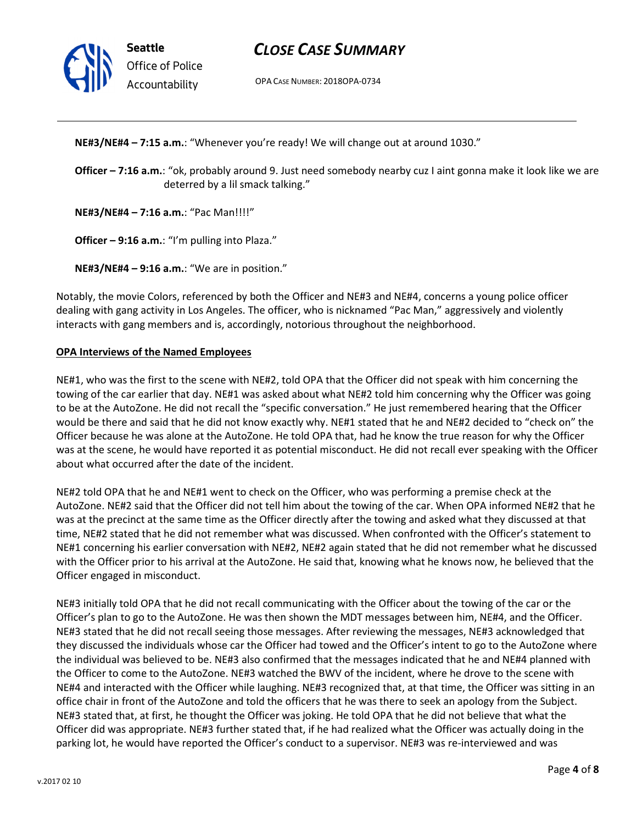

Seattle Office of Police Accountability

## CLOSE CASE SUMMARY

OPA CASE NUMBER: 2018OPA-0734

NE#3/NE#4 – 7:15 a.m.: "Whenever you're ready! We will change out at around 1030."

Officer - 7:16 a.m.: "ok, probably around 9. Just need somebody nearby cuz I aint gonna make it look like we are deterred by a lil smack talking."

NE#3/NE#4 – 7:16 a.m.: "Pac Man!!!!"

Officer - 9:16 a.m.: "I'm pulling into Plaza."

NE#3/NE#4 – 9:16 a.m.: "We are in position."

Notably, the movie Colors, referenced by both the Officer and NE#3 and NE#4, concerns a young police officer dealing with gang activity in Los Angeles. The officer, who is nicknamed "Pac Man," aggressively and violently interacts with gang members and is, accordingly, notorious throughout the neighborhood.

#### OPA Interviews of the Named Employees

NE#1, who was the first to the scene with NE#2, told OPA that the Officer did not speak with him concerning the towing of the car earlier that day. NE#1 was asked about what NE#2 told him concerning why the Officer was going to be at the AutoZone. He did not recall the "specific conversation." He just remembered hearing that the Officer would be there and said that he did not know exactly why. NE#1 stated that he and NE#2 decided to "check on" the Officer because he was alone at the AutoZone. He told OPA that, had he know the true reason for why the Officer was at the scene, he would have reported it as potential misconduct. He did not recall ever speaking with the Officer about what occurred after the date of the incident.

NE#2 told OPA that he and NE#1 went to check on the Officer, who was performing a premise check at the AutoZone. NE#2 said that the Officer did not tell him about the towing of the car. When OPA informed NE#2 that he was at the precinct at the same time as the Officer directly after the towing and asked what they discussed at that time, NE#2 stated that he did not remember what was discussed. When confronted with the Officer's statement to NE#1 concerning his earlier conversation with NE#2, NE#2 again stated that he did not remember what he discussed with the Officer prior to his arrival at the AutoZone. He said that, knowing what he knows now, he believed that the Officer engaged in misconduct.

NE#3 initially told OPA that he did not recall communicating with the Officer about the towing of the car or the Officer's plan to go to the AutoZone. He was then shown the MDT messages between him, NE#4, and the Officer. NE#3 stated that he did not recall seeing those messages. After reviewing the messages, NE#3 acknowledged that they discussed the individuals whose car the Officer had towed and the Officer's intent to go to the AutoZone where the individual was believed to be. NE#3 also confirmed that the messages indicated that he and NE#4 planned with the Officer to come to the AutoZone. NE#3 watched the BWV of the incident, where he drove to the scene with NE#4 and interacted with the Officer while laughing. NE#3 recognized that, at that time, the Officer was sitting in an office chair in front of the AutoZone and told the officers that he was there to seek an apology from the Subject. NE#3 stated that, at first, he thought the Officer was joking. He told OPA that he did not believe that what the Officer did was appropriate. NE#3 further stated that, if he had realized what the Officer was actually doing in the parking lot, he would have reported the Officer's conduct to a supervisor. NE#3 was re-interviewed and was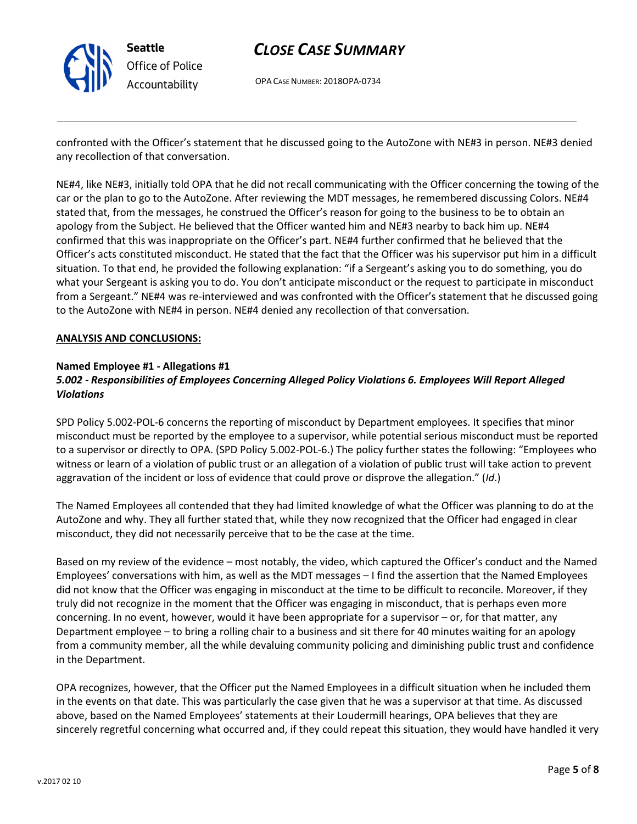

OPA CASE NUMBER: 2018OPA-0734

confronted with the Officer's statement that he discussed going to the AutoZone with NE#3 in person. NE#3 denied any recollection of that conversation.

NE#4, like NE#3, initially told OPA that he did not recall communicating with the Officer concerning the towing of the car or the plan to go to the AutoZone. After reviewing the MDT messages, he remembered discussing Colors. NE#4 stated that, from the messages, he construed the Officer's reason for going to the business to be to obtain an apology from the Subject. He believed that the Officer wanted him and NE#3 nearby to back him up. NE#4 confirmed that this was inappropriate on the Officer's part. NE#4 further confirmed that he believed that the Officer's acts constituted misconduct. He stated that the fact that the Officer was his supervisor put him in a difficult situation. To that end, he provided the following explanation: "if a Sergeant's asking you to do something, you do what your Sergeant is asking you to do. You don't anticipate misconduct or the request to participate in misconduct from a Sergeant." NE#4 was re-interviewed and was confronted with the Officer's statement that he discussed going to the AutoZone with NE#4 in person. NE#4 denied any recollection of that conversation.

#### ANALYSIS AND CONCLUSIONS:

#### Named Employee #1 - Allegations #1 5.002 - Responsibilities of Employees Concerning Alleged Policy Violations 6. Employees Will Report Alleged Violations

SPD Policy 5.002-POL-6 concerns the reporting of misconduct by Department employees. It specifies that minor misconduct must be reported by the employee to a supervisor, while potential serious misconduct must be reported to a supervisor or directly to OPA. (SPD Policy 5.002-POL-6.) The policy further states the following: "Employees who witness or learn of a violation of public trust or an allegation of a violation of public trust will take action to prevent aggravation of the incident or loss of evidence that could prove or disprove the allegation." (Id.)

The Named Employees all contended that they had limited knowledge of what the Officer was planning to do at the AutoZone and why. They all further stated that, while they now recognized that the Officer had engaged in clear misconduct, they did not necessarily perceive that to be the case at the time.

Based on my review of the evidence – most notably, the video, which captured the Officer's conduct and the Named Employees' conversations with him, as well as the MDT messages – I find the assertion that the Named Employees did not know that the Officer was engaging in misconduct at the time to be difficult to reconcile. Moreover, if they truly did not recognize in the moment that the Officer was engaging in misconduct, that is perhaps even more concerning. In no event, however, would it have been appropriate for a supervisor – or, for that matter, any Department employee – to bring a rolling chair to a business and sit there for 40 minutes waiting for an apology from a community member, all the while devaluing community policing and diminishing public trust and confidence in the Department.

OPA recognizes, however, that the Officer put the Named Employees in a difficult situation when he included them in the events on that date. This was particularly the case given that he was a supervisor at that time. As discussed above, based on the Named Employees' statements at their Loudermill hearings, OPA believes that they are sincerely regretful concerning what occurred and, if they could repeat this situation, they would have handled it very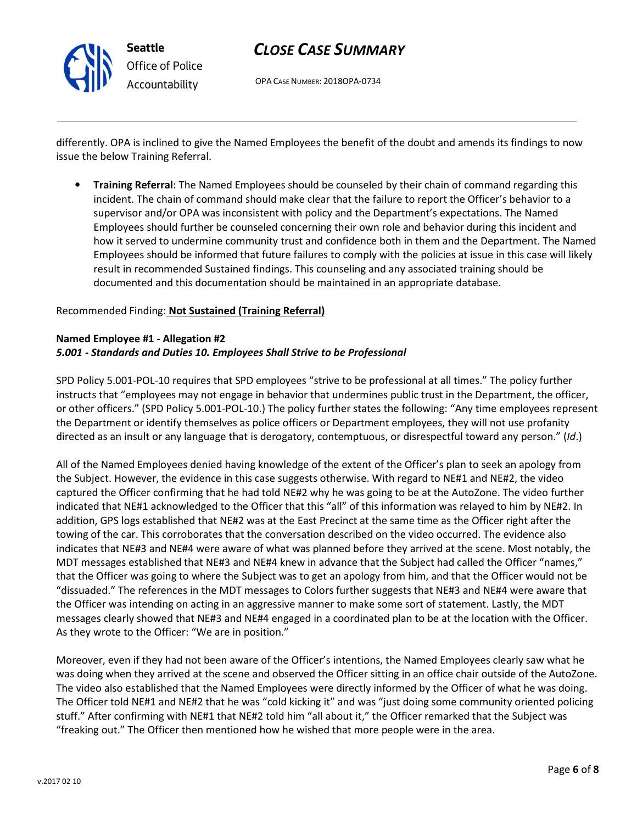

OPA CASE NUMBER: 2018OPA-0734

differently. OPA is inclined to give the Named Employees the benefit of the doubt and amends its findings to now issue the below Training Referral.

• Training Referral: The Named Employees should be counseled by their chain of command regarding this incident. The chain of command should make clear that the failure to report the Officer's behavior to a supervisor and/or OPA was inconsistent with policy and the Department's expectations. The Named Employees should further be counseled concerning their own role and behavior during this incident and how it served to undermine community trust and confidence both in them and the Department. The Named Employees should be informed that future failures to comply with the policies at issue in this case will likely result in recommended Sustained findings. This counseling and any associated training should be documented and this documentation should be maintained in an appropriate database.

#### Recommended Finding: Not Sustained (Training Referral)

#### Named Employee #1 - Allegation #2 5.001 - Standards and Duties 10. Employees Shall Strive to be Professional

SPD Policy 5.001-POL-10 requires that SPD employees "strive to be professional at all times." The policy further instructs that "employees may not engage in behavior that undermines public trust in the Department, the officer, or other officers." (SPD Policy 5.001-POL-10.) The policy further states the following: "Any time employees represent the Department or identify themselves as police officers or Department employees, they will not use profanity directed as an insult or any language that is derogatory, contemptuous, or disrespectful toward any person." (Id.)

All of the Named Employees denied having knowledge of the extent of the Officer's plan to seek an apology from the Subject. However, the evidence in this case suggests otherwise. With regard to NE#1 and NE#2, the video captured the Officer confirming that he had told NE#2 why he was going to be at the AutoZone. The video further indicated that NE#1 acknowledged to the Officer that this "all" of this information was relayed to him by NE#2. In addition, GPS logs established that NE#2 was at the East Precinct at the same time as the Officer right after the towing of the car. This corroborates that the conversation described on the video occurred. The evidence also indicates that NE#3 and NE#4 were aware of what was planned before they arrived at the scene. Most notably, the MDT messages established that NE#3 and NE#4 knew in advance that the Subject had called the Officer "names," that the Officer was going to where the Subject was to get an apology from him, and that the Officer would not be "dissuaded." The references in the MDT messages to Colors further suggests that NE#3 and NE#4 were aware that the Officer was intending on acting in an aggressive manner to make some sort of statement. Lastly, the MDT messages clearly showed that NE#3 and NE#4 engaged in a coordinated plan to be at the location with the Officer. As they wrote to the Officer: "We are in position."

Moreover, even if they had not been aware of the Officer's intentions, the Named Employees clearly saw what he was doing when they arrived at the scene and observed the Officer sitting in an office chair outside of the AutoZone. The video also established that the Named Employees were directly informed by the Officer of what he was doing. The Officer told NE#1 and NE#2 that he was "cold kicking it" and was "just doing some community oriented policing stuff." After confirming with NE#1 that NE#2 told him "all about it," the Officer remarked that the Subject was "freaking out." The Officer then mentioned how he wished that more people were in the area.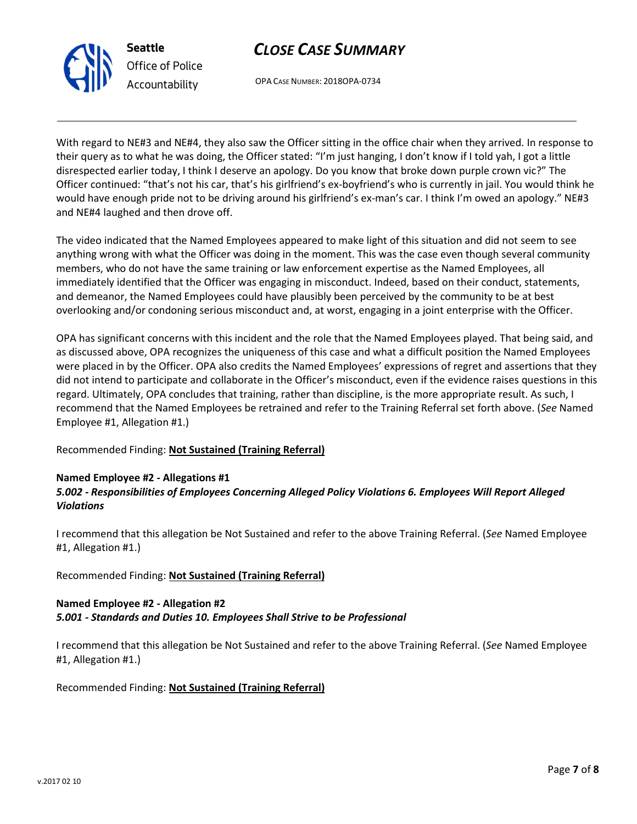OPA CASE NUMBER: 2018OPA-0734

With regard to NE#3 and NE#4, they also saw the Officer sitting in the office chair when they arrived. In response to their query as to what he was doing, the Officer stated: "I'm just hanging, I don't know if I told yah, I got a little disrespected earlier today, I think I deserve an apology. Do you know that broke down purple crown vic?" The Officer continued: "that's not his car, that's his girlfriend's ex-boyfriend's who is currently in jail. You would think he would have enough pride not to be driving around his girlfriend's ex-man's car. I think I'm owed an apology." NE#3 and NE#4 laughed and then drove off.

The video indicated that the Named Employees appeared to make light of this situation and did not seem to see anything wrong with what the Officer was doing in the moment. This was the case even though several community members, who do not have the same training or law enforcement expertise as the Named Employees, all immediately identified that the Officer was engaging in misconduct. Indeed, based on their conduct, statements, and demeanor, the Named Employees could have plausibly been perceived by the community to be at best overlooking and/or condoning serious misconduct and, at worst, engaging in a joint enterprise with the Officer.

OPA has significant concerns with this incident and the role that the Named Employees played. That being said, and as discussed above, OPA recognizes the uniqueness of this case and what a difficult position the Named Employees were placed in by the Officer. OPA also credits the Named Employees' expressions of regret and assertions that they did not intend to participate and collaborate in the Officer's misconduct, even if the evidence raises questions in this regard. Ultimately, OPA concludes that training, rather than discipline, is the more appropriate result. As such, I recommend that the Named Employees be retrained and refer to the Training Referral set forth above. (See Named Employee #1, Allegation #1.)

### Recommended Finding: Not Sustained (Training Referral)

### Named Employee #2 - Allegations #1

### 5.002 - Responsibilities of Employees Concerning Alleged Policy Violations 6. Employees Will Report Alleged Violations

I recommend that this allegation be Not Sustained and refer to the above Training Referral. (See Named Employee #1, Allegation #1.)

#### Recommended Finding: Not Sustained (Training Referral)

#### Named Employee #2 - Allegation #2 5.001 - Standards and Duties 10. Employees Shall Strive to be Professional

I recommend that this allegation be Not Sustained and refer to the above Training Referral. (See Named Employee #1, Allegation #1.)

Recommended Finding: Not Sustained (Training Referral)



Seattle

Office of Police Accountability